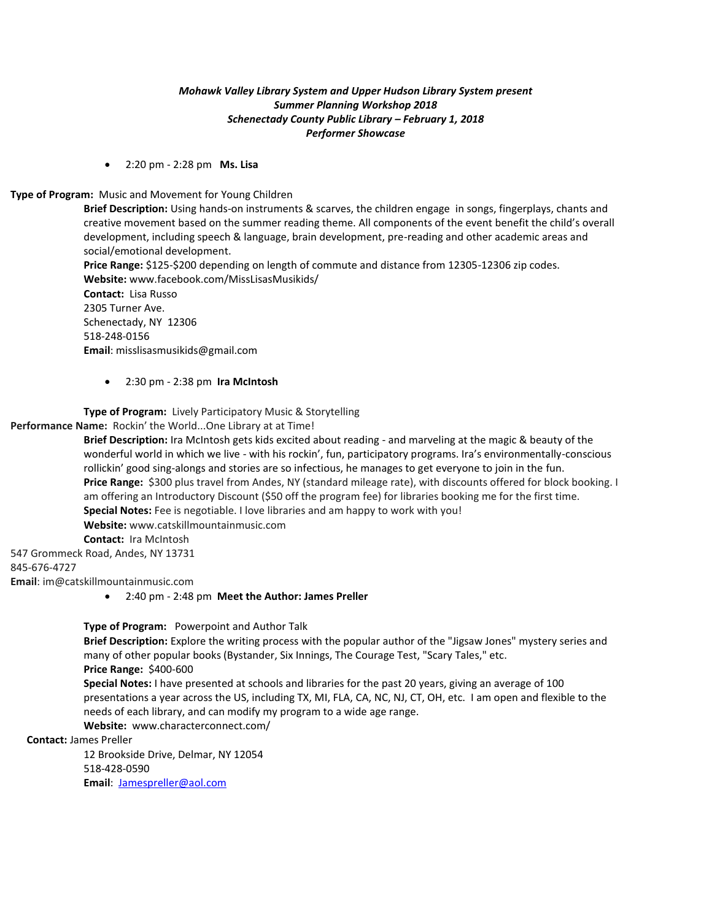# *Mohawk Valley Library System and Upper Hudson Library System present Summer Planning Workshop 2018 Schenectady County Public Library – February 1, 2018 Performer Showcase*

2:20 pm - 2:28 pm **Ms. Lisa**

### **Type of Program:** Music and Movement for Young Children

**Brief Description:** Using hands-on instruments & scarves, the children engage in songs, fingerplays, chants and creative movement based on the summer reading theme. All components of the event benefit the child's overall development, including speech & language, brain development, pre-reading and other academic areas and social/emotional development.

**Price Range:** \$125-\$200 depending on length of commute and distance from 12305-12306 zip codes. **Website:** [www.facebook.com/MissLisasMusikids/](http://www.talkinghandstheatre.com/)

**Contact:** Lisa Russo 2305 Turner Ave. Schenectady, NY 12306 518-248-0156 **Email**: misslisasmusikids@gmail.com

2:30 pm - 2:38 pm **Ira McIntosh**

**Type of Program:** Lively Participatory Music & Storytelling

**Performance Name:** Rockin' the World...One Library at at Time!

**Brief Description:** Ira McIntosh gets kids excited about reading - and marveling at the magic & beauty of the wonderful world in which we live - with his rockin', fun, participatory programs. Ira's environmentally-conscious rollickin' good sing-alongs and stories are so infectious, he manages to get everyone to join in the fun. **Price Range:** \$300 plus travel from Andes, NY (standard mileage rate), with discounts offered for block booking. I am offering an Introductory Discount (\$50 off the program fee) for libraries booking me for the first time. **Special Notes:** Fee is negotiable. I love libraries and am happy to work with you! **Website:** [w](http://www.talkinghandstheatre.com/)ww.catskillmountainmusic.com **Contact:** Ira McIntosh

547 Grommeck Road, Andes, NY 13731 845-676-4727

**Email**: im@catskillmountainmusic.com

2:40 pm - 2:48 pm **Meet the Author: James Preller**

**Type of Program:** Powerpoint and Author Talk

**Brief Description:** Explore the writing process with the popular author of the "Jigsaw Jones" mystery series and many of other popular books (Bystander, Six Innings, The Courage Test, "Scary Tales," etc. **Price Range:** \$400-600

**Special Notes:** I have presented at schools and libraries for the past 20 years, giving an average of 100 presentations a year across the US, including TX, MI, FLA, CA, NC, NJ, CT, OH, etc. I am open and flexible to the needs of each library, and can modify my program to a wide age range.

**Website:** [www.characterconnect.com/](http://www.characterconnect.com/) 

#### **Contact:** James Preller

12 Brookside Drive, Delmar, NY 12054 518-428-0590 **Email**: [Jamespreller@aol.com](mailto:Jamespreller@aol.com)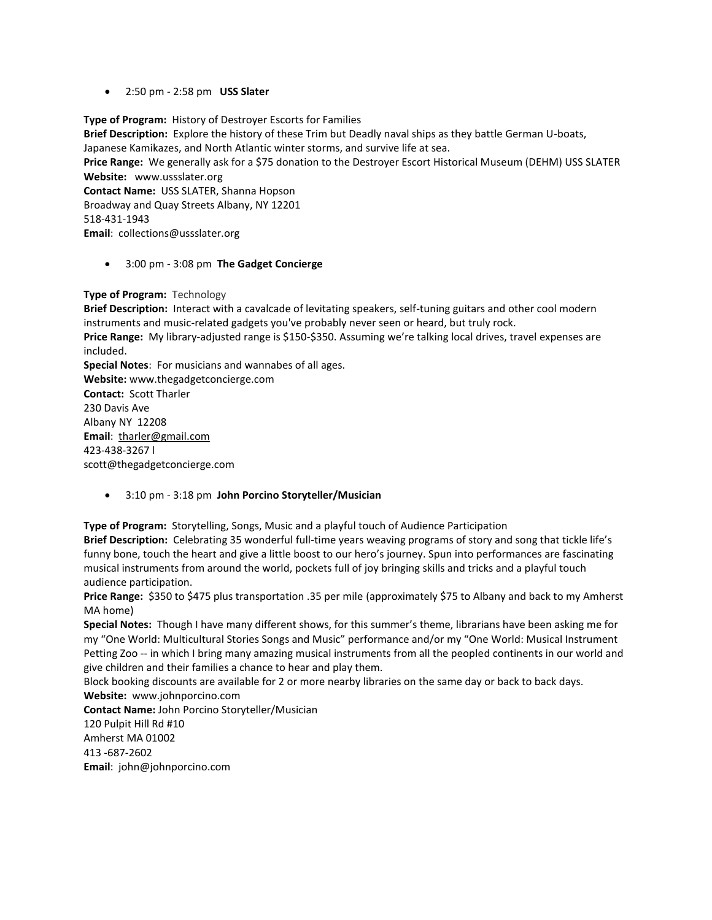2:50 pm - 2:58 pm **USS Slater**

**Type of Program:** History of Destroyer Escorts for Families **Brief Description:** Explore the history of these Trim but Deadly naval ships as they battle German U-boats, Japanese Kamikazes, and North Atlantic winter storms, and survive life at sea. **Price Range:** We generally ask for a \$75 donation to the Destroyer Escort Historical Museum (DEHM) USS SLATER **Website:** [www.ussslater.org](http://www.ussslater.org/) **Contact Name:** USS SLATER, Shanna Hopson Broadway and Quay Streets Albany, NY 12201 518-431-1943 **Email**: [collections@ussslater.org](mailto:collections@ussslater.org)

3:00 pm - 3:08 pm **The Gadget Concierge**

### **Type of Program:** Technology

**Brief Description:** Interact with a cavalcade of levitating speakers, self-tuning guitars and other cool modern instruments and music-related gadgets you've probably never seen or heard, but truly rock.

**Price Range:** My library-adjusted range is \$150-\$350. Assuming we're talking local drives, travel expenses are included.

**Special Notes**: For musicians and wannabes of all ages. **Website:** [www.thegadgetconcierge.com](http://www.thegadgetconcierge.com/) **Contact:** Scott Tharler 230 Davis Ave Albany NY 12208 **Email**: [tharler@gmail.com](mailto:tharler@gmail.com) 423-438-3267 l scott@thegadgetconcierge.com

3:10 pm - 3:18 pm **John Porcino Storyteller/Musician**

**Type of Program:** Storytelling, Songs, Music and a playful touch of Audience Participation **Brief Description:** Celebrating 35 wonderful full-time years weaving programs of story and song that tickle life's funny bone, touch the heart and give a little boost to our hero's journey. Spun into performances are fascinating musical instruments from around the world, pockets full of joy bringing skills and tricks and a playful touch audience participation.

**Price Range:** \$350 to \$475 plus transportation .35 per mile (approximately \$75 to Albany and back to my Amherst MA home)

**Special Notes:** Though I have many different shows, for this summer's theme, librarians have been asking me for my "One World: Multicultural Stories Songs and Music" performance and/or my "One World: Musical Instrument Petting Zoo -- in which I bring many amazing musical instruments from all the peopled continents in our world and give children and their families a chance to hear and play them.

Block booking discounts are available for 2 or more nearby libraries on the same day or back to back days. **Website:** [www.johnporcino.com](http://www.johnporcino.com/)

**Contact Name:** John Porcino Storyteller/Musician 120 Pulpit Hill Rd #10 Amherst MA 01002 413 -687-2602 **Email**: [john@johnporcino.com](mailto:john@johnporcino.com)